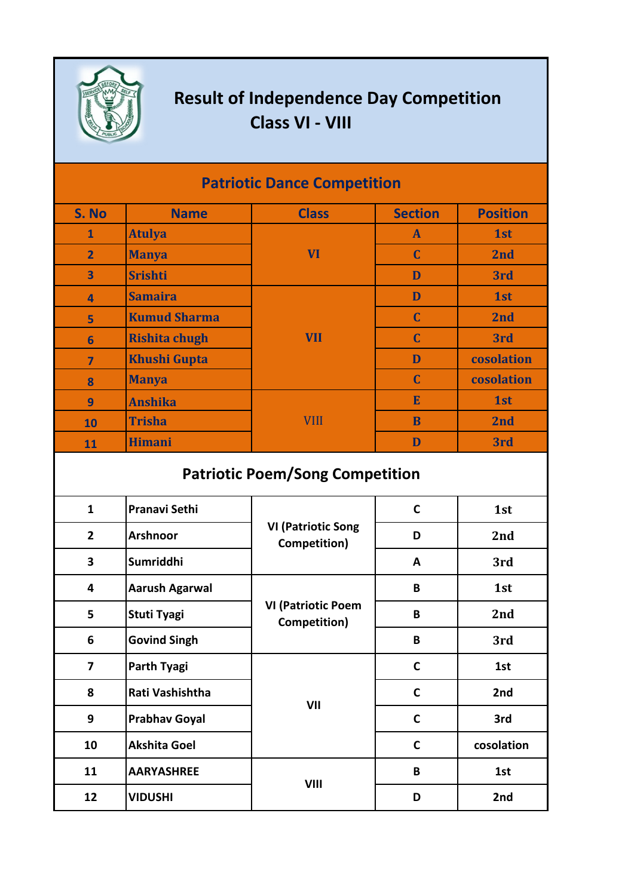

## **Result of Independence Day Competition Class VI - VIII**

| <b>Patriotic Dance Competition</b> |                      |              |                |                 |  |  |  |
|------------------------------------|----------------------|--------------|----------------|-----------------|--|--|--|
| S. No                              | <b>Name</b>          | <b>Class</b> | <b>Section</b> | <b>Position</b> |  |  |  |
| $\mathbf{1}$                       | <b>Atulya</b>        | <b>VI</b>    | $\mathbf{A}$   | 1st             |  |  |  |
| $\overline{2}$                     | <b>Manya</b>         |              | $\mathbf C$    | 2nd             |  |  |  |
| $\overline{\mathbf{3}}$            | <b>Srishti</b>       |              | D              | 3rd             |  |  |  |
| $\overline{a}$                     | <b>Samaira</b>       | <b>VII</b>   | D              | 1st             |  |  |  |
| 5                                  | <b>Kumud Sharma</b>  |              | $\mathbf C$    | 2nd             |  |  |  |
| 6                                  | <b>Rishita chugh</b> |              | $\mathbf C$    | 3rd             |  |  |  |
| $\overline{\mathbf{z}}$            | <b>Khushi Gupta</b>  |              | D              | cosolation      |  |  |  |
| 8                                  | <b>Manya</b>         |              | $\mathbf C$    | cosolation      |  |  |  |
| 9                                  | <b>Anshika</b>       | <b>VIII</b>  | E              | 1st             |  |  |  |
| 10                                 | <b>Trisha</b>        |              | B              | 2nd             |  |  |  |
| 11                                 | <b>Himani</b>        |              | D              | 3rd             |  |  |  |

## **Patriotic Poem/Song Competition**

| $\mathbf{1}$            | <b>Pranavi Sethi</b>  | <b>VI (Patriotic Song</b><br>Competition) | $\mathbf C$  | 1st        |
|-------------------------|-----------------------|-------------------------------------------|--------------|------------|
| $\overline{2}$          | <b>Arshnoor</b>       |                                           | D            | 2nd        |
| 3                       | Sumriddhi             |                                           | A            | 3rd        |
| 4                       | <b>Aarush Agarwal</b> | <b>VI (Patriotic Poem</b><br>Competition) | B            | 1st        |
| 5                       | <b>Stuti Tyagi</b>    |                                           | B            | 2nd        |
| 6                       | <b>Govind Singh</b>   |                                           | B            | 3rd        |
| $\overline{\mathbf{z}}$ | <b>Parth Tyagi</b>    | VII                                       | $\mathbf C$  | 1st        |
| 8                       | Rati Vashishtha       |                                           | $\mathbf C$  | 2nd        |
| 9                       | <b>Prabhav Goyal</b>  |                                           | $\mathbf C$  | 3rd        |
| 10                      | <b>Akshita Goel</b>   |                                           | $\mathsf{C}$ | cosolation |
| 11                      | <b>AARYASHREE</b>     | <b>VIII</b>                               | B            | 1st        |
| 12                      | <b>VIDUSHI</b>        |                                           | D            | 2nd        |